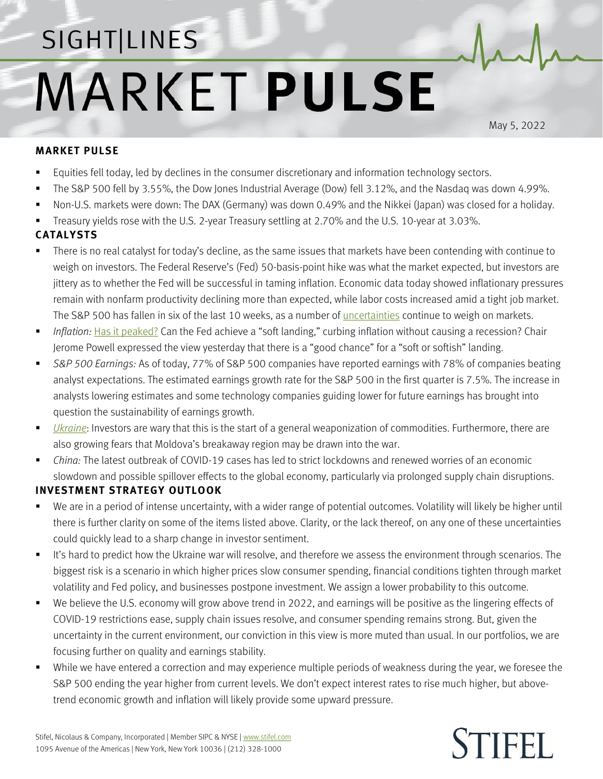## SIGHT LINES **MARKET PULSE**

May 5, 2022

## **MARKET PULSE**

- Equities fell today, led by declines in the consumer discretionary and information technology sectors.
- The S&P 500 fell by 3.55%, the Dow Jones Industrial Average (Dow) fell 3.12%, and the Nasdaq was down 4.99%.
- Non-U.S. markets were down: The DAX (Germany) was down 0.49% and the Nikkei (Japan) was closed for a holiday.
- Treasury yields rose with the U.S. 2-year Treasury settling at 2.70% and the U.S. 10-year at 3.03%.

## **CATALYSTS**

- There is no real catalyst for today's decline, as the same issues that markets have been contending with continue to weigh on investors. The Federal Reserve's (Fed) 50-basis-point hike was what the market expected, but investors are jittery as to whether the Fed will be successful in taming inflation. Economic data today showed inflationary pressures remain with nonfarm productivity declining more than expected, while labor costs increased amid a tight job market. The S&P 500 has fallen in six of the last 10 weeks, as a number of <u>uncertainties</u> continue to weigh on markets.
- *Inflation:* [Has it peaked?](https://www.stifel.com/Newsletters/AdGraphics/InSight/Sightlines/2022/SL042222.pdf) Can the Fed achieve a "soft landing," curbing inflation without causing a recession? Chair Jerome Powell expressed the view yesterday that there is a "good chance" for a "soft or softish" landing.
- *S&P 500 Earnings:* As of today, 77% of S&P 500 companies have reported earnings with 78% of companies beating analyst expectations. The estimated earnings growth rate for the S&P 500 in the first quarter is 7.5%. The increase in analysts lowering estimates and some technology companies guiding lower for future earnings has brought into question the sustainability of earnings growth.
- *[Ukraine](https://www.stifel.com/newsletters/AdGraphics/InSight/Major-Themes/MT.html)*: Investors are wary that this is the start of a general weaponization of commodities. Furthermore, there are also growing fears that Moldova's breakaway region may be drawn into the war.
- *China:* The latest outbreak of COVID-19 cases has led to strict lockdowns and renewed worries of an economic slowdown and possible spillover effects to the global economy, particularly via prolonged supply chain disruptions.

## **INVESTMENT STRATEGY OUTLOOK**

- We are in a period of intense uncertainty, with a wider range of potential outcomes. Volatility will likely be higher until there is further clarity on some of the items listed above. Clarity, or the lack thereof, on any one of these uncertainties could quickly lead to a sharp change in investor sentiment.
- It's hard to predict how the Ukraine war will resolve, and therefore we assess the environment through scenarios. The biggest risk is a scenario in which higher prices slow consumer spending, financial conditions tighten through market volatility and Fed policy, and businesses postpone investment. We assign a lower probability to this outcome.
- We believe the U.S. economy will grow above trend in 2022, and earnings will be positive as the lingering effects of COVID-19 restrictions ease, supply chain issues resolve, and consumer spending remains strong. But, given the uncertainty in the current environment, our conviction in this view is more muted than usual. In our portfolios, we are focusing further on quality and earnings stability.
- While we have entered a correction and may experience multiple periods of weakness during the year, we foresee the S&P 500 ending the year higher from current levels. We don't expect interest rates to rise much higher, but abovetrend economic growth and inflation will likely provide some upward pressure.